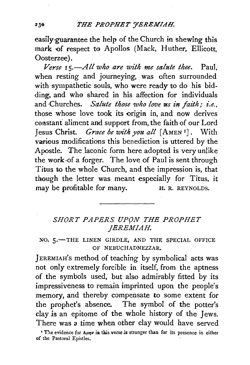## 231!) *THE PROPHET 'JEREMIAH.*

easily-guarantee the help of the Church in shewing this mark of respect to Apollos (Mack, Huther, Ellicott, Oosterzee).

*Verse 15.-All who are with me salute thee.* Paul, when resting and journeying, was often surrounded with sympathetic souls, who were ready to do his bidding, and whe shared in his affection for individuals and Churches. *Salute those who love us in faith; i.e.*, those whose love took its origin in, and now derives constant aliment and support from, the faith of our Lord Jesus Christ. *Grace be 'Wl'th you a!!* [AMEN 1]. With various modifications this benediction is uttered by the Apostle. The laconic form here adopted is very unlike the work of a forger. The love of Paul is sent through Titus to the whole Church, and the impression is, that though the letter was meant especially for Titus, it may be profitable for many. H. R. REYNOLDS.

## SHORT PAPERS UPON THE PROPHET *JEREMIAH.*

NO. 5.-THE LINEN GIRDLE, AND THE SPECIAL OFFICE OF NEBUCHADNEZZAR.

JEREMIAH's method of teaching by symbolical acts was not only extremely forcible in itself, from the aptness of the symbols used, but also admirably fitted by its impressiveness to remain imprinted upon the people's memory, and thereby compensate to some extent for the prophet's absence. The symbol of the potter's clay *is* an epitome of the whole history of the Jews. There was a time when other clay would have served

<sup>1</sup> The evidence for *Aunv* in this verse is stronger than for its presence in either of the Pastoral Epistles.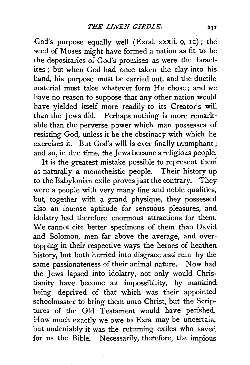God's purpose equally well (Exod. xxxii. 9, 10); the seed of Moses might have formed a nation as fit to be the depositaries of God's promises as were the Israelites; but when God had once taken the clay into his hand, his purpose must be carried out, and the ductile material must take whatever form He chose; and we have no reason to suppose that any other nation would have yielded itself more readily to its Creator's will than the Jews did. Perhaps nothing is more remarkable than the perverse power which man possesses of resisting God, unless it be the obstinacy with which he exercises it. But God's will is ever finally triumphant; and so, in due time, the Jews became a religious people.

It is the greatest mistake possible to represent them as naturally a monotheistic people. Their history up to the Babylonian exile proves just the contrary. They were a people with very many fine and noble qualities, but, together with a grand physique, they possessed also an intense aptitude for sensuous pleasures, and idolatry had therefore enormous attractions for them. We cannot cite better specimens of them than David and Solomon, men far above the average, and overtopping in their respective ways the heroes of heathen history, but both hurried into disgrace and ruin by the same passionateness of their animal nature. Now had the Jews lapsed into idolatry, not only would Christianity have become an impossibility, by mankind being deprived of that which was their appointed schoolmaster to bring them unto Christ, but the Scriptures of the Old Testament would have perished. How much exactly we owe to Ezra may be uncertain, but undeniably it was the returning exiles who saved for us the Bible. Necessarily, therefore, the impious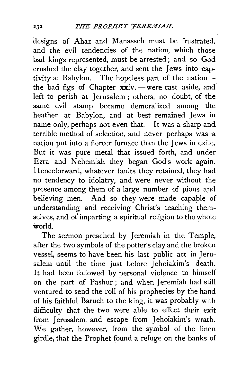designs of Ahaz and Manasseh must be frustrated, and the evil tendencies of the nation, which those bad kings represented, must be arrested ; and so God crushed the clay together, and sent the Jews into captivity at Babylon. The hopeless part of the nationthe bad figs of Chapter xxiv. - were cast aside, and left to perish at Jerusalem ; others, no doubt, of the same evil stamp became demoralized among the heathen at Babylon, and at best remained Jews in name only, perhaps not even that. It was a sharp and terrible method of selection, and never perhaps was a nation put into a fiercer furnace than the Jews in exile. But it was pure metal that issued forth, and under Ezra and Nehemiah they began God's work again. Henceforward, whatever faults they retained, they had no tendency to idolatry, and were never without the presence among them of a large number of pious and believing men. And so they were made capable of understanding and receiving Christ's teaching themselves, and of imparting a spiritual religion to the whole world.

The sermon preached by Jeremiah in the Temple, after the two symbols of the potter's clay and the broken vessel, seems to have been his last public act in Jerusalem until the time just before Jehoiakim's death. It had been followed by personal violence to himself on the part of Pashur ; and when Jeremiah had still ventured to send the roll of his prophecies by the hand of his faithful Baruch to the king, it was probably with difficulty that the two were able to effect their exit from Jerusalem, and escape from Jehoiakim's wrath. We gather, however, from the symbol of the linen girdle, that the Prophet found a refuge on the banks of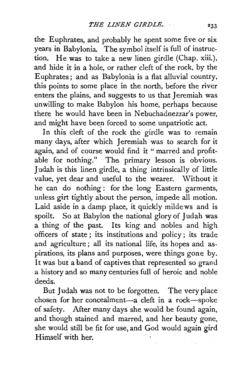the- Euphrates, and probably he spent some five or six years in Babylonia. The symbol itself is full of instruction. He was to take a new linen girdle (Chap. xiii.), and hide it in a hole, or rather cleft of the rock, by the Euphrates; and as Babylonia is a flat alluvial country, this points to some place in the north, before the river enters the plains, and suggests to us that Jeremiah was unwilling to make Babylon his home, perhaps because there he would have been in Nebuchadnezzar's power, and might have been forced to some unpatriotic act.

In this cleft of the rock the girdle was to remain many days, after which Jeremiah was to search for it again, and of course would find it " marred and profitable for nothing." The primary lesson is obvious. Judah is this linen girdle, a thing intrinsically of little value, yet dear and useful to the wearer. Without it he can do nothing : for the long Eastern garments, unless girt tightly about the person, impede all motion. Laid aside in a damp place, it quickly mildews and is spoilt. So at Babylon the national glory of Judah was a thing of the past. Its king and nobles and high officers of state ; its institutions and policy; its trade and agriculture ; all its national life, its hopes and aspirations, its plans and purposes, were things gone by. It was but a band of captives that represented so grand a history and so many centuries full of heroic and noble deeds.

But Judah was not to be forgotten. The very place chosen for her concealment-a cleft in a rock-spoke of safety. After many days she would be found again, .and though stained and marred, and her beauty gone, she would still be fit for use, and God would again gird .Himself with her.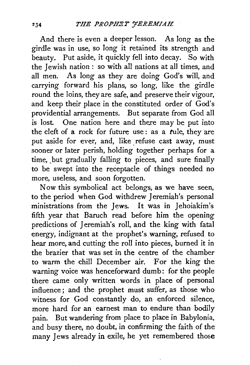And there is even a deeper lesson. As long as the girdle was in use, so long it retained its strength and beauty. Put aside, it quickly fell into decay. So with the Jewish nation : so with all nations at all times, and all men. As long as they are doing God's will, and carrying forward his plans, so long, like the girdle round the loins, they are safe, and preserve their vigour, and keep their place in the constituted order of God's providential arrangements. But separate from God all is lost. One nation here and there may be put into the cleft of a rock for future use : as a tule, they are put aside for ever, and, like refuse cast away, must sooner or later perish, holding together perhaps for a time, but gradually falling to pieces, and sure finally to be swept into the receptacle of things needed no more, useless, and soon forgotten.

Now this symbolical act belongs, as we have seen, to the period when God withdrew Jeremiah's personal ministrations from the Jews. It was in Jehoiakim's fifth year that Baruch read before him the opening predictions of Jeremiah's roll, and the king with fatal energy, indignant at the prophet's warning, refused to hear more, and cutting the roll into pieces, burned it in the brazier that was set in the centre of the chamber to warm the chill December air. For the king the warning voice was henceforward dumb: for the people there came only written words in place of personal influence; and the prophet must suffer, as those who witness for God constantly do, an enforced silence, more hard for an earnest man to endure than bodily pain. But wandering from place to place in Babylonia, and busy there, no doubt, in confirming the faith of the many Jews already in exile, he yet remembered those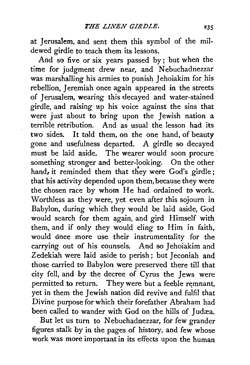at Jerusalem, and sent them this symbol of the mildewed girdle to teach them its lessons.

And so five or six years passed by; but when the time for judgment drew near, and Nebuchadnezzar was marshalling his armies to punish Jehoiakim for his rebellion, Jeremiah once again appeared in the streets of Jerusalem, wearing this decayed and water-stained girdle, and raising up his voice against the sins that were just about to bring upon the Jewish nation a terrible retribution. And as usual the lesson had its two sides. It told them, on the one hand, of beauty gone and usefulness departed. A girdle so decayed must be laid aside. The wearer would soon procure something stronger and better-looking. On the other hand, it reminded them that they were God's girdle; that his activity depended upon them, because they were the chosen race by whom He had ordained to work. Worthless as they were, yet even after this sojourn in Babylon, during which they would be laid aside, God would search for them again, and gird Himself with them, and if only they would cling to Him in faith, would once more use their instrumentality for the carrying out of his counsels. And so Jehoiakim and Zedekiah were laid aside to perish; but Jeconiah and those carried to Babylon were preserved there till that city fell, and by the decree of Cyrus the Jews were permitted to return. They were but a feeble remnant, yet in them the Jewish nation did revive and fulfil that Divine purpose for which their forefather Abraham had been called to wander with God on the hills of Judæa.

But let us turn to Nebuchadnezzar, for few grander figures stalk by in the pages of history, and few whose work was more important in its effects upon the human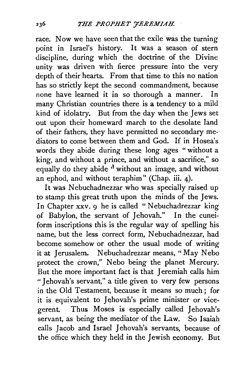race. Now we have seen that the exile was the turning point in Israel's history. It was a season of stern discipline, during which the doctrine of the Divine unity was driven with fierce pressure into the very depth of their hearts. From that time to this no nation has so strictly kept the second commandment, because none have learned it in so thorough a manner. In many Christian countries there is a tendency to a mild kind of idolatry. But from the day when the Jews set out upon their homeward march to the desolate land of their fathers, they have permitted no secondary mediators to come between them and God. If in Hosea's words they abide during these long ages " without a king, and without a prince, and without a sacrifice," so equally do they abide  $\delta$  without an image, and without an ephod, and without teraphim" (Chap. iii. 4).

It was Nebuchadnezzar who was specially raised up to stamp this great truth upon the minds of the Jews. In Chapter xxv. 9 he is called "Nebuchadrezzar king of Babylon, the servant of Jehovah." In the cuneiform inscriptions this is the regular way of spelling his name, but the less correct form, Nebuchadnezzar, had become somehow or other the usual mode of writing it at Jerusalem. Nebuchadrezzar means, "May Nebo protect the crown," Nebo being the planet Mercury. But the more important fact is that Jeremiah calls him "I ehovah's servant," a title given to very few persons in the Old Testament, because it means so much; for it is equivalent to Jehovah's prime minister or vicegerent. Thus Moses is especially called Jehovah's servant, as being the mediator of the Law. So Isaiah calls Jacob and Israel Jehovah's servants, because of the office which they held in the Jewish economy. But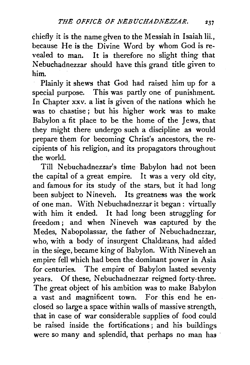chiefly it is the name given to the Messiah in Isaiah lii., because He is the Divine Word by whom God is revealed to man. It is therefore no slight thing that Nebuchadnezzar should have this grand title given to him.

Plainly it shews that God had raised him up for a special purpose. This was partly one of punishment. In Chapter xxv. a list is given of the nations which he was to chastise j but his higher work was to make Babylon a fit place to be the home of the Jews, that they might there undergo such a discipline as would prepare them for becoming Christ's ancestors, the recipients of his religion, and its propagators throughout the world.

Till Nebuchadnezzar's time Babylon had not been the capital of a great empire. It was a very old city, and famous for its study of the stars, but it had long been subject to Nineveh. Its greatness was the work of one man. With Nebuchadnezzar it began : virtually with him it ended. It had long been struggling for freedom; and when Nineveh was captured by the Medes, Nabopolassar, the father of Nebuchadnezzar. who, with a body of insurgent Chaldæans, had aided in the siege, became king of Babylon. With Nineveh an empire fell which had been the dominant power in Asia for centuries. The empire of Babylon lasted seventy years. Of these, Nebuchadnezzar reigned forty-three. The great object of his ambition was to make Babylon a vast and magnificent town. For this end he enclosed so large a space within walls of massive strength, that in case of war considerable supplies of food could be raised inside the fortifications *;* and his buildings were so many and splendid, that perhaps no man has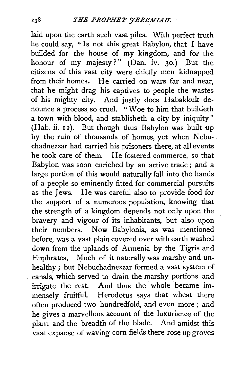laid upon the earth such vast piles. With perfect truth he could say, " Is not this great Babylon, that I have builded for the house of my kingdom, and for the honour of my majesty?" (Dan. iv. 30.) But the citizens of this vast city were chiefly men kidnapped from their homes. He carried on wars far and near, that he might drag his captives to people the wastes of his mighty city. And justly does Habakkuk denounce a process so cruel. "Woe to him that buildeth a town with blood, and stablisheth a city by iniquity"  $(Hab. ii. 12)$ . But though thus Babylon was built up by the ruin of thousands of homes, yet when Nebuchadnezzar had carried his prisoners there, at all events he took care of them. He fostered commerce, so that Babylon was soon enriched by an active trade ; and a large portion of this would naturally fall into the hands of a people so eminently fitted for commercial pursuits as the Jews. He was careful also to provide food for the support of a numerous population, knowing that the strength of a kingdom depends not only upon the bravery and vigour of its inhabitants, but also upon their numbers. Now Babylonia, as was mentioned before, was a vast plain covered over with earth washed down from the uplands of Armenia by the Tigris and Euphrates. Much of it naturally was marshy and unhealthy ; but Nebuchadnezzar formed a vast system of canals, which served to drain the marshy portions and irrigate the rest. And thus the whole became immensely fruitful. Herodotus says that wheat there often produced two hundredfold, and even more; and he gives a marvellous account of the luxuriance of the plant and the breadth of the blade. And amidst this vast expanse of waving corn-fields there rose up groves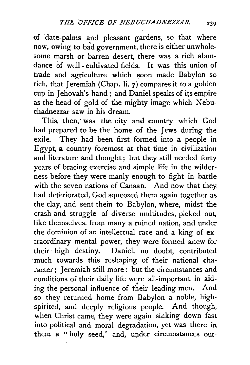of date-palms and pleasant gardens, so that where now, owing to bad government, there is either unwholesome marsh or barren desert, there was a rich abundance of well- cultivated fields. It was this union of trade and agriculture which soon made Babylon so rich, that Jeremiah (Chap. li. 7) compares it to a golden cup in Jehovah's hand ; and Daniel speaks of its empire as the head of gold of the mighty image which Nebuchadnezzar saw in his dream.

This, then, was the city and country which God had prepared to be the home of the Jews during the exile. They had been first formed into a people in Egypt, a country foremost at that time in civilization and literature and thought; but they still needed forty years of bracing exercise and simple life in the wilderness before they were manly enough to fight in battle with the seven nations of Canaan. And now that they had deteriorated, God squeezed them again together as the clay, and sent them to Babylon, where, midst the crash and struggle of diverse multitudes, picked out, like themselves, from many a ruined nation, and under the dominion of an intellectual race and a king of extraordinary mental power, they were formed anew for their high destiny. Daniel, no doubt, contributed much towards this reshaping of their national character; Jeremiah still more: but the circumstances and conditions of their daily life were all-important in aiding the personal influence of their leading men. And so they returned home from Babylon a noble, highspirited, and deeply religious people. And though, when Christ came, they were again sinking down fast into political and moral degradation, yet was there in them a " holy seed," and, under circumstances out-